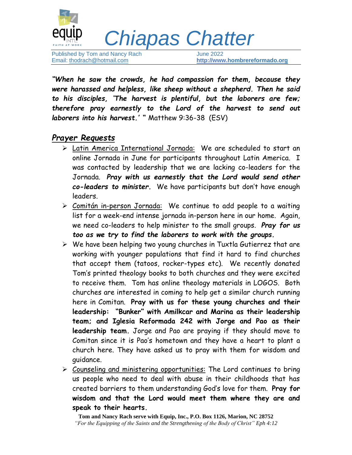

 *Chiapas Chatter*

Published by Tom and Nancy Rach June 2022

Email: [thodrach@hotmail.com](mailto:thodrach@hotmail.com) **[http://www.](http://www./)[hombrereformado.org](http://www.hombrereformado.org/)**

*"When he saw the crowds, he had compassion for them, because they were harassed and helpless, like sheep without a shepherd. Then he said to his disciples, 'The harvest is plentiful, but the laborers are few; therefore pray earnestly to the Lord of the harvest to send out laborers into his harvest.' "* Matthew 9:36-38 (ESV)

## *Prayer Requests*

- ➢ Latin America International Jornada: We are scheduled to start an online Jornada in June for participants throughout Latin America. I was contacted by leadership that we are lacking co-leaders for the Jornada. *Pray with us earnestly that the Lord would send other co-leaders to minister.* We have participants but don't have enough leaders.
- ➢ Comitán in-person Jornada: We continue to add people to a waiting list for a week-end intense jornada in-person here in our home. Again, we need co-leaders to help minister to the small groups. *Pray for us too as we try to find the laborers to work with the groups.*
- $\triangleright$  We have been helping two young churches in Tuxtla Gutierrez that are working with younger populations that find it hard to find churches that accept them (tatoos, rocker-types etc). We recently donated Tom's printed theology books to both churches and they were excited to receive them. Tom has online theology materials in LOGOS. Both churches are interested in coming to help get a similar church running here in Comitan. **Pray with us for these young churches and their leadership: "Bunker" with Amilkcar and Marina as their leadership team; and Iglesia Reformada 242 with Jorge and Pao as their leadership team.** Jorge and Pao are praying if they should move to Comitan since it is Pao's hometown and they have a heart to plant a church here. They have asked us to pray with them for wisdom and guidance.
- ➢ Counseling and ministering opportunities: The Lord continues to bring us people who need to deal with abuse in their childhoods that has created barriers to them understanding God's love for them. **Pray for wisdom and that the Lord would meet them where they are and speak to their hearts.**

**Tom and Nancy Rach serve with Equip, Inc., P.O. Box 1126, Marion, NC 28752** *"For the Equipping of the Saints and the Strengthening of the Body of Christ" Eph 4:12*